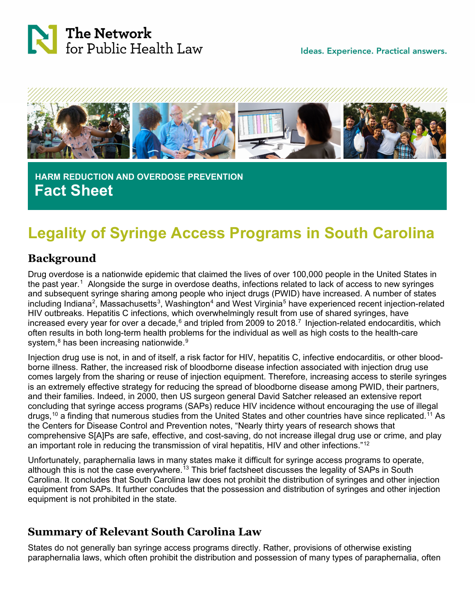



 **HARM REDUCTION AND OVERDOSE PREVENTION Fact Sheet**

# **Legality of Syringe Access Programs in South Carolina**

## **Background**

Drug overdose is a nationwide epidemic that claimed the lives of over 100,000 people in the United States in the past year.<sup>[1](#page-2-0)</sup> Alongside the surge in overdose deaths, infections related to lack of access to new syringes and subsequent syringe sharing among people who inject drugs (PWID) have increased. A number of states including Indiana<sup>[2](#page-2-1)</sup>, Massachusetts $^3$  $^3$ , Washington $^4$  and West Virginia $^5$  $^5$  have experienced recent injection-related HIV outbreaks. Hepatitis C infections, which overwhelmingly result from use of shared syringes, have increased every year for over a decade,<sup>[6](#page-2-5)</sup> and tripled from 2009 to 2018.<sup>7</sup> Injection-related endocarditis, which often results in both long-term health problems for the individual as well as high costs to the health-care system,<sup>[8](#page-2-7)</sup> has been increasing nationwide.<sup>[9](#page-2-8)</sup>

Injection drug use is not, in and of itself, a risk factor for HIV, hepatitis C, infective endocarditis, or other bloodborne illness. Rather, the increased risk of bloodborne disease infection associated with injection drug use comes largely from the sharing or reuse of injection equipment. Therefore, increasing access to sterile syringes is an extremely effective strategy for reducing the spread of bloodborne disease among PWID, their partners, and their families. Indeed, in 2000, then US surgeon general David Satcher released an extensive report concluding that syringe access programs (SAPs) reduce HIV incidence without encouraging the use of illegal drugs,<sup>[10](#page-2-9)</sup> a finding that numerous studies from the United States and other countries have since replicated.<sup>[11](#page-2-10)</sup> As the Centers for Disease Control and Prevention notes, "Nearly thirty years of research shows that comprehensive S[A]Ps are safe, effective, and cost-saving, do not increase illegal drug use or crime, and play an important role in reducing the transmission of viral hepatitis, HIV and other infections."[12](#page-2-11)

Unfortunately, paraphernalia laws in many states make it difficult for syringe access programs to operate, although this is not the case everywhere.<sup>[13](#page-2-12)</sup> This brief factsheet discusses the legality of SAPs in South Carolina. It concludes that South Carolina law does not prohibit the distribution of syringes and other injection equipment from SAPs. It further concludes that the possession and distribution of syringes and other injection equipment is not prohibited in the state.

# **Summary of Relevant South Carolina Law**

States do not generally ban syringe access programs directly. Rather, provisions of otherwise existing paraphernalia laws, which often prohibit the distribution and possession of many types of paraphernalia, often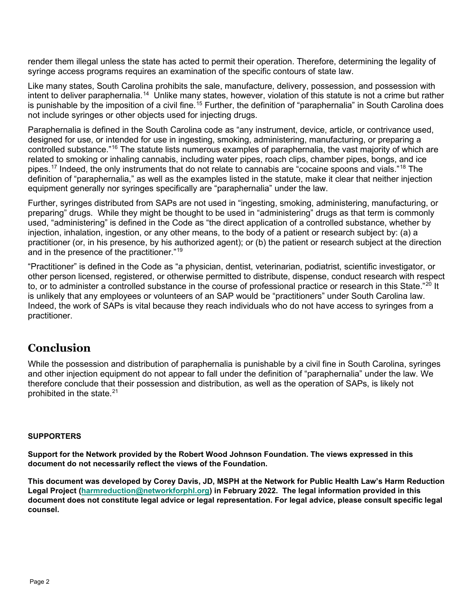render them illegal unless the state has acted to permit their operation. Therefore, determining the legality of syringe access programs requires an examination of the specific contours of state law.

Like many states, South Carolina prohibits the sale, manufacture, delivery, possession, and possession with intent to deliver paraphernalia.<sup>[14](#page-2-13)</sup> Unlike many states, however, violation of this statute is not a crime but rather is punishable by the imposition of a civil fine.<sup>[15](#page-2-14)</sup> Further, the definition of "paraphernalia" in South Carolina does not include syringes or other objects used for injecting drugs.

Paraphernalia is defined in the South Carolina code as "any instrument, device, article, or contrivance used, designed for use, or intended for use in ingesting, smoking, administering, manufacturing, or preparing a controlled substance."<sup>[16](#page-2-15)</sup> The statute lists numerous examples of paraphernalia, the vast majority of which are related to smoking or inhaling cannabis, including water pipes, roach clips, chamber pipes, bongs, and ice pipes.<sup>[17](#page-2-16)</sup> Indeed, the only instruments that do not relate to cannabis are "cocaine spoons and vials."<sup>[18](#page-2-17)</sup> The definition of "paraphernalia," as well as the examples listed in the statute, make it clear that neither injection equipment generally nor syringes specifically are "paraphernalia" under the law.

Further, syringes distributed from SAPs are not used in "ingesting, smoking, administering, manufacturing, or preparing" drugs. While they might be thought to be used in "administering" drugs as that term is commonly used, "administering" is defined in the Code as "the direct application of a controlled substance, whether by injection, inhalation, ingestion, or any other means, to the body of a patient or research subject by: (a) a practitioner (or, in his presence, by his authorized agent); or (b) the patient or research subject at the direction and in the presence of the practitioner."[19](#page-2-18)

"Practitioner" is defined in the Code as "a physician, dentist, veterinarian, podiatrist, scientific investigator, or other person licensed, registered, or otherwise permitted to distribute, dispense, conduct research with respect to, or to administer a controlled substance in the course of professional practice or research in this State."<sup>[20](#page-2-19)</sup> It is unlikely that any employees or volunteers of an SAP would be "practitioners" under South Carolina law. Indeed, the work of SAPs is vital because they reach individuals who do not have access to syringes from a practitioner.

### **Conclusion**

While the possession and distribution of paraphernalia is punishable by a civil fine in South Carolina, syringes and other injection equipment do not appear to fall under the definition of "paraphernalia" under the law. We therefore conclude that their possession and distribution, as well as the operation of SAPs, is likely not prohibited in the state.[21](#page-2-20)

#### **SUPPORTERS**

**Support for the Network provided by the Robert Wood Johnson Foundation. The views expressed in this document do not necessarily reflect the views of the Foundation.**

**This document was developed by Corey Davis, JD, MSPH at the Network for Public Health Law's Harm Reduction Legal Project [\(harmreduction@networkforphl.org\)](mailto:harmreduction@networkforphl.org) in February 2022. The legal information provided in this document does not constitute legal advice or legal representation. For legal advice, please consult specific legal counsel.**